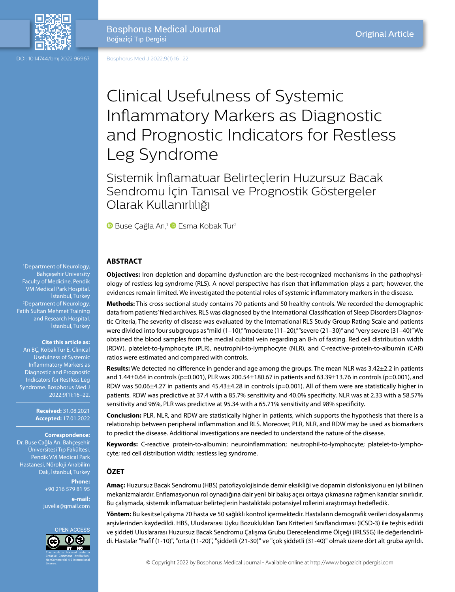

DOI: 10.14744/bmj.2022.96967

Bosphorus Med J 2022;9(1):16–22

# Clinical Usefulness of Systemic Inflammatory Markers as Diagnostic and Prognostic Indicators for Restless Leg Syndrome

Sistemik İnflamatuar Belirteçlerin Huzursuz Bacak Sendromu İçin Tanısal ve Prognostik Göstergeler Olarak Kullanırlılığı

**BuseÇağla Arı,<sup>1</sup> Desma Kobak Tur<sup>2</sup>** 

## **ABSTRACT**

**Objectives:** Iron depletion and dopamine dysfunction are the best-recognized mechanisms in the pathophysiology of restless leg syndrome (RLS). A novel perspective has risen that inflammation plays a part; however, the evidences remain limited. We investigated the potential roles of systemic inflammatory markers in the disease.

**Methods:** This cross-sectional study contains 70 patients and 50 healthy controls. We recorded the demographic data from patients' filed archives. RLS was diagnosed by the International Classification of Sleep Disorders Diagnostic Criteria, The severity of disease was evaluated by the International RLS Study Group Rating Scale and patients were divided into four subgroups as "mild (1-10)," "moderate (11-20)," "severe (21-30)" and "very severe (31-40)" We obtained the blood samples from the medial cubital vein regarding an 8-h of fasting. Red cell distribution width (RDW), platelet-to-lymphocyte (PLR), neutrophil-to-lymphocyte (NLR), and C-reactive-protein-to-albumin (CAR) ratios were estimated and compared with controls.

**Results:** We detected no difference in gender and age among the groups. The mean NLR was 3.42±2.2 in patients and 1.44±0.64 in controls (p=0.001), PLR was 200.54±180.67 in patients and 63.39±13.76 in controls (p=0.001), and RDW was 50.06±4.27 in patients and 45.43±4.28 in controls (p=0.001). All of them were are statistically higher in patients. RDW was predictive at 37.4 with a 85.7% sensitivity and 40.0% specificity. NLR was at 2.33 with a 58.57% sensitivity and 96%, PLR was predictive at 95.34 with a 65.71% sensitivity and 98% specificity.

**Conclusion:** PLR, NLR, and RDW are statistically higher in patients, which supports the hypothesis that there is a relationship between peripheral inflammation and RLS. Moreover, PLR, NLR, and RDW may be used as biomarkers to predict the disease. Additional investigations are needed to understand the nature of the disease.

**Keywords:** C-reactive protein-to-albumin; neuroinflammation; neutrophil-to-lymphocyte; platelet-to-lymphocyte; red cell distribution width; restless leg syndrome.

#### **ÖZET**

**Amaç:** Huzursuz Bacak Sendromu (HBS) patofizyolojisinde demir eksikliği ve dopamin disfonksiyonu en iyi bilinen mekanizmalardır. Enflamasyonun rol oynadığına dair yeni bir bakış açısı ortaya çıkmasına rağmen kanıtlar sınırlıdır. Bu çalışmada, sistemik inflamatuar belirteçlerin hastalıktaki potansiyel rollerini araştırmayı hedefledik.

**Yöntem:** Bu kesitsel çalışma 70 hasta ve 50 sağlıklı kontrol içermektedir. Hastaların demografik verileri dosyalanmış arşivlerinden kaydedildi. HBS, Uluslararası Uyku Bozuklukları Tanı Kriterleri Sınıflandırması (ICSD-3) ile teşhis edildi ve şiddeti Uluslararası Huzursuz Bacak Sendromu Çalışma Grubu Derecelendirme Ölçeği (IRLSSG) ile değerlendirildi. Hastalar "hafif (1-10)", "orta (11-20)", "şiddetli (21-30)" ve "çok şiddetli (31-40)" olmak üzere dört alt gruba ayrıldı.

1 Department of Neurology, Bahçeşehir University Faculty of Medicine, Pendik VM Medical Park Hospital, İstanbul, Turkey 2 Department of Neurology, Fatih Sultan Mehmet Training and Research Hospital, İstanbul, Turkey

#### **Cite this article as:**

Arı BÇ, Kobak Tur E. Clinical Usefulness of Systemic Inflammatory Markers as Diagnostic and Prognostic Indicators for Restless Leg Syndrome. Bosphorus Med J 2022;9(1):16–22.

> **Received:** 31.08.2021 **Accepted:** 17.01.2022

> > **Correspondence:**

Dr. Buse Cağla Arı. Bahçeşehir Üniversitesi Tıp Fakültesi, Pendik VM Medical Park Hastanesi, Nöroloji Anabilim Dalı, İstanbul, Turkey

> **Phone:** +90 216 579 81 95 **e-mail:** juvelia@gmail.com

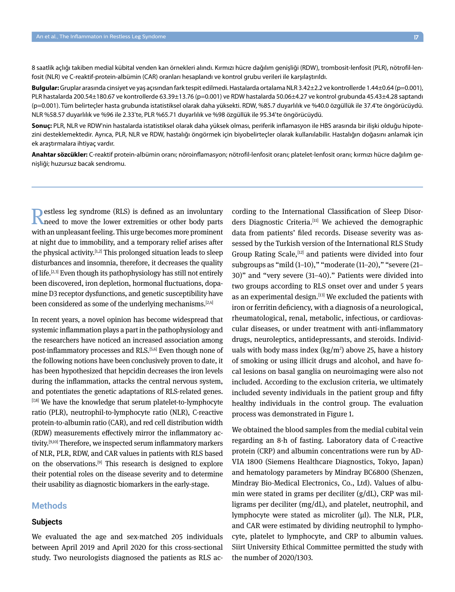8 saatlik açlığı takiben medial kübital venden kan örnekleri alındı. Kırmızı hücre dağılım genişliği (RDW), trombosit-lenfosit (PLR), nötrofil-lenfosit (NLR) ve C-reaktif-protein-albümin (CAR) oranları hesaplandı ve kontrol grubu verileri ile karşılaştırıldı.

**Bulgular:** Gruplar arasında cinsiyet ve yaş açısından fark tespit edilmedi. Hastalarda ortalama NLR 3.42±2.2 ve kontrollerde 1.44±0.64 (p=0.001), PLR hastalarda 200.54±180.67 ve kontrollerde 63.39±13.76 (p=0.001) ve RDW hastalarda 50.06±4.27 ve kontrol grubunda 45.43±4.28 saptandı (p=0.001). Tüm belirteçler hasta grubunda istatistiksel olarak daha yüksekti. RDW, %85.7 duyarlılık ve %40.0 özgüllük ile 37.4'te öngörücüydü. NLR %58.57 duyarlılık ve %96 ile 2.33'te, PLR %65.71 duyarlılık ve %98 özgüllük ile 95.34'te öngörücüydü.

**Sonuç:** PLR, NLR ve RDW'nin hastalarda istatistiksel olarak daha yüksek olması, periferik inflamasyon ile HBS arasında bir ilişki olduğu hipotezini desteklemektedir. Ayrıca, PLR, NLR ve RDW, hastalığı öngörmek için biyobelirteçler olarak kullanılabilir. Hastalığın doğasını anlamak için ek araştırmalara ihtiyaç vardır.

**Anahtar sözcükler:** C-reaktif protein-albümin oranı; nöroinflamasyon; nötrofil-lenfosit oranı; platelet-lenfosit oranı; kırmızı hücre dağılım genişliği; huzursuz bacak sendromu.

Restless leg syndrome (RLS) is defined as an involuntary meed to move the lower extremities or other body parts with an unpleasant feeling. This urge becomes more prominent at night due to immobility, and a temporary relief arises after the physical activity.<sup>[1,2]</sup> This prolonged situation leads to sleep disturbances and insomnia, therefore, it decreases the quality of life.<sup>[2,3]</sup> Even though its pathophysiology has still not entirely been discovered, iron depletion, hormonal fluctuations, dopamine D3 receptor dysfunctions, and genetic susceptibility have been considered as some of the underlying mechanisms.[2,4]

In recent years, a novel opinion has become widespread that systemic inflammation plays a part in the pathophysiology and the researchers have noticed an increased association among post-inflammatory processes and RLS.<sup>[5,6]</sup> Even though none of the following notions have been conclusively proven to date, it has been hypothesized that hepcidin decreases the iron levels during the inflammation, attacks the central nervous system, and potentiates the genetic adaptations of RLS-related genes. [7,8] We have the knowledge that serum platelet-to-lymphocyte ratio (PLR), neutrophil-to-lymphocyte ratio (NLR), C-reactive protein-to-albumin ratio (CAR), and red cell distribution width (RDW) measurements effectively mirror the inflammatory activity.<sup>[9,10]</sup> Therefore, we inspected serum inflammatory markers of NLR, PLR, RDW, and CAR values in patients with RLS based on the observations.<sup>[9]</sup> This research is designed to explore their potential roles on the disease severity and to determine their usability as diagnostic biomarkers in the early-stage.

## **Methods**

## **Subjects**

We evaluated the age and sex-matched 205 individuals between April 2019 and April 2020 for this cross-sectional study. Two neurologists diagnosed the patients as RLS according to the International Classification of Sleep Disorders Diagnostic Criteria.<sup>[11]</sup> We achieved the demographic data from patients' filed records. Disease severity was assessed by the Turkish version of the International RLS Study Group Rating Scale,[12] and patients were divided into four subgroups as "mild (1–10)," "moderate (11–20)," "severe (21– 30)" and "very severe (31–40)." Patients were divided into two groups according to RLS onset over and under 5 years as an experimental design.<sup>[13]</sup> We excluded the patients with iron or ferritin deficiency, with a diagnosis of a neurological, rheumatological, renal, metabolic, infectious, or cardiovascular diseases, or under treatment with anti-inflammatory drugs, neuroleptics, antidepressants, and steroids. Individuals with body mass index  $(kg/m^2)$  above 25, have a history of smoking or using illicit drugs and alcohol, and have focal lesions on basal ganglia on neuroimaging were also not included. According to the exclusion criteria, we ultimately included seventy individuals in the patient group and fifty healthy individuals in the control group. The evaluation process was demonstrated in Figure 1.

We obtained the blood samples from the medial cubital vein regarding an 8-h of fasting. Laboratory data of C-reactive protein (CRP) and albumin concentrations were run by AD-VIA 1800 (Siemens Healthcare Diagnostics, Tokyo, Japan) and hematology parameters by Mindray BC6800 (Shenzen, Mindray Bio-Medical Electronics, Co., Ltd). Values of albumin were stated in grams per deciliter (g/dL), CRP was milligrams per deciliter (mg/dL), and platelet, neutrophil, and lymphocyte were stated as microliter (μl). The NLR, PLR, and CAR were estimated by dividing neutrophil to lymphocyte, platelet to lymphocyte, and CRP to albumin values. Siirt University Ethical Committee permitted the study with the number of 2020/1303.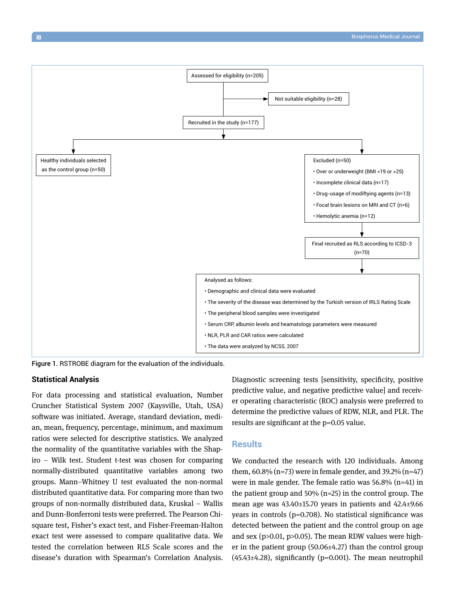

Figure 1. RSTROBE diagram for the evaluation of the individuals.

### **Statistical Analysis**

For data processing and statistical evaluation, Number Cruncher Statistical System 2007 (Kaysville, Utah, USA) software was initiated. Average, standard deviation, median, mean, frequency, percentage, minimum, and maximum ratios were selected for descriptive statistics. We analyzed the normality of the quantitative variables with the Shapiro – Wilk test. Student t-test was chosen for comparing normally-distributed quantitative variables among two groups. Mann–Whitney U test evaluated the non-normal distributed quantitative data. For comparing more than two groups of non-normally distributed data, Kruskal – Wallis and Dunn-Bonferroni tests were preferred. The Pearson Chisquare test, Fisher's exact test, and Fisher-Freeman-Halton exact test were assessed to compare qualitative data. We tested the correlation between RLS Scale scores and the disease's duration with Spearman's Correlation Analysis. Diagnostic screening tests [sensitivity, specificity, positive predictive value, and negative predictive value] and receiver operating characteristic (ROC) analysis were preferred to determine the predictive values of RDW, NLR, and PLR. The results are significant at the p=0.05 value.

#### **Results**

We conducted the research with 120 individuals. Among them,  $60.8\%$  (n=73) were in female gender, and 39.2% (n=47) were in male gender. The female ratio was  $56.8\%$  (n=41) in the patient group and 50% (n=25) in the control group. The mean age was 43.40±15.70 years in patients and 42.4±9.66 years in controls (p=0.708). No statistical significance was detected between the patient and the control group on age and sex (p>0.01, p>0.05). The mean RDW values were higher in the patient group (50.06±4.27) than the control group (45.43±4.28), significantly (p=0.001). The mean neutrophil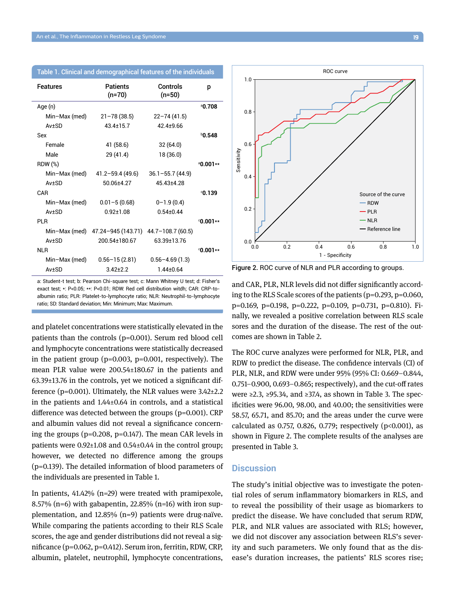| Table 1. Clinical and demographical features of the individuals |  |  |  |
|-----------------------------------------------------------------|--|--|--|
|                                                                 |  |  |  |

| <b>Features</b> | <b>Patients</b><br>(n=70) | Controls<br>$(n=50)$ | р                 |
|-----------------|---------------------------|----------------------|-------------------|
| Age (n)         |                           |                      | ª0.708            |
| Min-Max (med)   | $21 - 78(38.5)$           | $22 - 74(41.5)$      |                   |
| $Av+SD$         | 43 4 + 15 7               | $424 + 966$          |                   |
| Sex             |                           |                      | $b$ 0.548         |
| Female          | 41 (58.6)                 | 32(64.0)             |                   |
| Male            | 29 (41.4)                 | 18 (36.0)            |                   |
| RDW (%)         |                           |                      | $^{\circ}0.001**$ |
| Min-Max (med)   | $41.2 - 59.4(49.6)$       | $36.1 - 55.7(44.9)$  |                   |
| $Av+SD$         | 50 06+4 27                | 45 43 + 4 28         |                   |
| CAR             |                           |                      | 0.139             |
| Min-Max (med)   | $0.01 - 5(0.68)$          | $0 - 1.9(0.4)$       |                   |
| $Av+SD$         | 092+108                   | $0.54 + 0.44$        |                   |
| PI R            |                           |                      | $0.001**$         |
| Min-Max (med)   | 47.24-945 (143.71)        | $44.7 - 108.7(60.5)$ |                   |
| $Av+SD$         | 200.54±180.67             | 63.39±13.76          |                   |
| NI R            |                           |                      | $0.001**$         |
| Min-Max (med)   | $0.56 - 15(2.81)$         | $0.56 - 4.69(1.3)$   |                   |
| Av±SD           | $3.42 + 2.2$              | $1.44 \pm 0.64$      |                   |

a: Student-t test; b: Pearson Chi-square test; c: Mann Whitney U test; d: Fisher's exact test; \*: P<0.05; \*\*: P<0.01; RDW: Red cell distribution witdh; CAR: CRP-toalbumin ratio; PLR: Platelet-to-lymphocyte ratio; NLR: Neutrophil-to-lymphocyte ratio; SD: Standard deviation; Min: Minimum; Max: Maximum.

and platelet concentrations were statistically elevated in the patients than the controls (p=0.001). Serum red blood cell and lymphocyte concentrations were statistically decreased in the patient group (p=0.003, p=0.001, respectively). The mean PLR value were 200.54±180.67 in the patients and 63.39±13.76 in the controls, yet we noticed a significant difference ( $p=0.001$ ). Ultimately, the NLR values were  $3.42\pm2.2$ in the patients and 1.44±0.64 in controls, and a statistical difference was detected between the groups (p=0.001). CRP and albumin values did not reveal a significance concerning the groups (p=0.208, p=0.147). The mean CAR levels in patients were 0.92±1.08 and 0.54±0.44 in the control group; however, we detected no difference among the groups (p=0.139). The detailed information of blood parameters of the individuals are presented in Table 1.

In patients, 41.42% (n=29) were treated with pramipexole, 8.57% (n=6) with gabapentin, 22.85% (n=16) with iron supplementation, and 12.85% (n=9) patients were drug-naïve. While comparing the patients according to their RLS Scale scores, the age and gender distributions did not reveal a significance (p=0.062, p=0.412). Serum iron, ferritin, RDW, CRP, albumin, platelet, neutrophil, lymphocyte concentrations,



Figure 2. ROC curve of NLR and PLR according to groups.

and CAR, PLR, NLR levels did not differ significantly according to the RLS Scale scores of the patients (p=0.293, p=0.060, p=0.169, p=0.198, p=0.222, p=0.109, p=0.731, p=0.810). Finally, we revealed a positive correlation between RLS scale sores and the duration of the disease. The rest of the outcomes are shown in Table 2.

The ROC curve analyzes were performed for NLR, PLR, and RDW to predict the disease. The confidence intervals (CI) of PLR, NLR, and RDW were under 95% (95% CI: 0.669–0.844, 0.751–0.900, 0.693–0.865; respectively), and the cut-off rates were ≥2.3, ≥95.34, and ≥37.4, as shown in Table 3. The specificities were 96.00, 98.00, and 40.00; the sensitivities were 58.57, 65.71, and 85.70; and the areas under the curve were calculated as 0.757, 0.826, 0.779; respectively  $(p<0.001)$ , as shown in Figure 2. The complete results of the analyses are presented in Table 3.

## **Discussion**

The study's initial objective was to investigate the potential roles of serum inflammatory biomarkers in RLS, and to reveal the possibility of their usage as biomarkers to predict the disease. We have concluded that serum RDW, PLR, and NLR values are associated with RLS; however, we did not discover any association between RLS's severity and such parameters. We only found that as the disease's duration increases, the patients' RLS scores rise;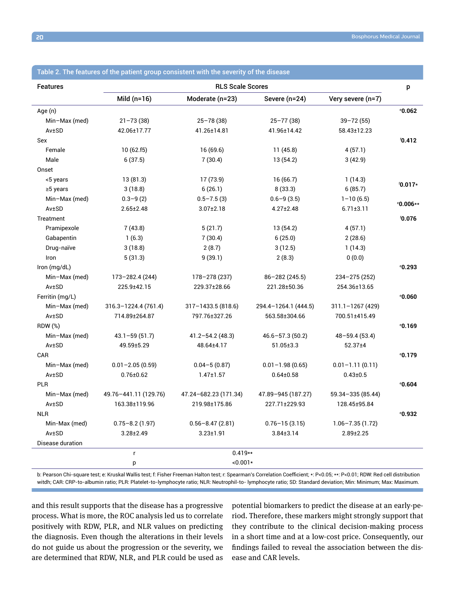| <b>Features</b>  | <b>RLS Scale Scores</b> |                       |                      | p                   |                           |
|------------------|-------------------------|-----------------------|----------------------|---------------------|---------------------------|
|                  | Mild $(n=16)$           | Moderate (n=23)       | Severe (n=24)        | Very severe (n=7)   |                           |
| Age (n)          |                         |                       |                      |                     | 0.062                     |
| Min-Max (med)    | $21 - 73(38)$           | $25 - 78(38)$         | $25 - 77(38)$        | $39 - 72(55)$       |                           |
| Av±SD            | 42.06±17.77             | 41.26±14.81           | 41.96±14.42          | 58.43±12.23         |                           |
| Sex              |                         |                       |                      |                     | 6.412                     |
| Female           | 10(62.f5)               | 16 (69.6)             | 11(45.8)             | 4(57.1)             |                           |
| Male             | 6(37.5)                 | 7(30.4)               | 13(54.2)             | 3(42.9)             |                           |
| Onset            |                         |                       |                      |                     |                           |
| <5 years         | 13(81.3)                | 17 (73.9)             | 16(66.7)             | 1(14.3)             |                           |
| $\geq$ 5 years   | 3(18.8)                 | 6(26.1)               | 8(33.3)              | 6(85.7)             | $60.017*$                 |
| Min-Max (med)    | $0.3 - 9(2)$            | $0.5 - 7.5(3)$        | $0.6 - 9(3.5)$       | $1 - 10(6.5)$       |                           |
| Av±SD            | $2.65 \pm 2.48$         | $3.07 \pm 2.18$       | $4.27 \pm 2.48$      | $6.71 \pm 3.11$     | <sup>e</sup> 0.006**      |
| Treatment        |                         |                       |                      |                     | 0.076                     |
| Pramipexole      | 7(43.8)                 | 5(21.7)               | 13(54.2)             | 4(57.1)             |                           |
| Gabapentin       | 1(6.3)                  | 7(30.4)               | 6(25.0)              | 2(28.6)             |                           |
| Drug-naïve       | 3(18.8)                 | 2(8.7)                | 3(12.5)              | 1(14.3)             |                           |
| Iron             | 5(31.3)                 | 9(39.1)               | 2(8.3)               | 0(0.0)              |                           |
| Iron (mg/dL)     |                         |                       |                      |                     | 0.293                     |
| Min-Max (med)    | 173-282.4 (244)         | 178-278 (237)         | 86-282 (245.5)       | 234-275 (252)       |                           |
| Av±SD            | 225.9±42.15             | 229.37±28.66          | 221.28±50.36         | 254.36±13.65        |                           |
| Ferritin (mg/L)  |                         |                       |                      |                     | °0.060                    |
| Min-Max (med)    | 316.3-1224.4 (761.4)    | 317-1433.5 (818.6)    | 294.4-1264.1 (444.5) | $311.1 - 1267(429)$ |                           |
| Av±SD            | 714.89±264.87           | 797.76±327.26         | 563.58±304.66        | 700.51±415.49       |                           |
| <b>RDW (%)</b>   |                         |                       |                      |                     | 0.169                     |
| Min-Max (med)    | $43.1 - 59(51.7)$       | $41.2 - 54.2$ (48.3)  | $46.6 - 57.3(50.2)$  | $48 - 59.4(53.4)$   |                           |
| Av±SD            | 49.59±5.29              | 48.64±4.17            | $51.05 \pm 3.3$      | 52.37±4             |                           |
| CAR              |                         |                       |                      |                     | <sup>e</sup> 0.179        |
| Min-Max (med)    | $0.01 - 2.05(0.59)$     | $0.04 - 5(0.87)$      | $0.01 - 1.98(0.65)$  | $0.01 - 1.11(0.11)$ |                           |
| Av±SD            | $0.76 \pm 0.62$         | $1.47 \pm 1.57$       | $0.64 \pm 0.58$      | $0.43 \pm 0.5$      |                           |
| <b>PLR</b>       |                         |                       |                      |                     | 0.604                     |
| Min-Max (med)    | 49.76-441.11 (129.76)   | 47.24-682.23 (171.34) | 47.89-945 (187.27)   | 59.34-335 (85.44)   |                           |
| Av±SD            | 163.38±119.96           | 219.98±175.86         | 227.71±229.93        | 128.45±95.84        |                           |
| <b>NLR</b>       |                         |                       |                      |                     | <b><i><b>.932</b></i></b> |
| Min-Max (med)    | $0.75 - 8.2(1.97)$      | $0.56 - 8.47(2.81)$   | $0.76 - 15(3.15)$    | $1.06 - 7.35(1.72)$ |                           |
| Av±SD            | $3.28 \pm 2.49$         | $3.23 \pm 1.91$       | $3.84 \pm 3.14$      | $2.89 \pm 2.25$     |                           |
| Disease duration |                         |                       |                      |                     |                           |
|                  | $0.419**$<br>r          |                       |                      |                     |                           |
|                  | р                       | $<0.001*$             |                      |                     |                           |

## Table 2. The features of the patient group consistent with the severity of the disease

b: Pearson Chi-square test; e: Kruskal Wallis test; f: Fisher Freeman Halton test; r: Spearman's Correlation Coefficient; \*: P<0.05; \*\*: P<0.01; RDW: Red cell distribution witdh; CAR: CRP-to-albumin ratio; PLR: Platelet-to-lymphocyte ratio; NLR: Neutrophil-to- lymphocyte ratio; SD: Standard deviation; Min: Minimum; Max: Maximum.

and this result supports that the disease has a progressive process. What is more, the ROC analysis led us to correlate positively with RDW, PLR, and NLR values on predicting the diagnosis. Even though the alterations in their levels do not guide us about the progression or the severity, we are determined that RDW, NLR, and PLR could be used as potential biomarkers to predict the disease at an early-period. Therefore, these markers might strongly support that they contribute to the clinical decision-making process in a short time and at a low-cost price. Consequently, our findings failed to reveal the association between the disease and CAR levels.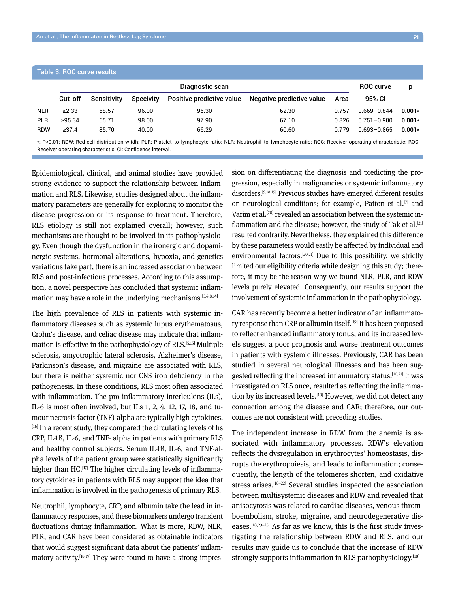| Table 3. ROC curve results |                 |                    |                  |                           |                           |       |                 |          |  |
|----------------------------|-----------------|--------------------|------------------|---------------------------|---------------------------|-------|-----------------|----------|--|
|                            | Diagnostic scan |                    |                  |                           | <b>ROC curve</b>          | p     |                 |          |  |
|                            | Cut-off         | <b>Sensitivity</b> | <b>Specivity</b> | Positive predictive value | Negative predictive value | Area  | 95% CI          |          |  |
| <b>NLR</b>                 | $\geq 2.33$     | 58.57              | 96.00            | 95.30                     | 62.30                     | 0 757 | $0.669 - 0.844$ | $0.001*$ |  |
| <b>PLR</b>                 | >95.34          | 65.71              | 98.00            | 97.90                     | 67.10                     | 0.826 | $0.751 - 0.900$ | $0.001*$ |  |
| <b>RDW</b>                 | >37.4           | 85.70              | 40.00            | 66.29                     | 60.60                     | በ 779 | $0.693 - 0.865$ | $0.001*$ |  |
|                            |                 |                    |                  |                           |                           |       |                 |          |  |

\*: P<0.01; RDW: Red cell distribution witdh; PLR: Platelet-to-lymphocyte ratio; NLR: Neutrophil-to-lymphocyte ratio; ROC: Receiver operating characteristic; ROC: Receiver operating characteristic; CI: Confidence interval.

Epidemiological, clinical, and animal studies have provided strong evidence to support the relationship between inflammation and RLS. Likewise, studies designed about the inflammatory parameters are generally for exploring to monitor the disease progression or its response to treatment. Therefore, RLS etiology is still not explained overall; however, such mechanisms are thought to be involved in its pathophysiology. Even though the dysfunction in the ironergic and dopaminergic systems, hormonal alterations, hypoxia, and genetics variations take part, there is an increased association between RLS and post-infectious processes. According to this assumption, a novel perspective has concluded that systemic inflammation may have a role in the underlying mechanisms.<sup>[3,4,8,14]</sup>

The high prevalence of RLS in patients with systemic inflammatory diseases such as systemic lupus erythematosus, Crohn's disease, and celiac disease may indicate that inflammation is effective in the pathophysiology of RLS.[5,15] Multiple sclerosis, amyotrophic lateral sclerosis, Alzheimer's disease, Parkinson's disease, and migraine are associated with RLS, but there is neither systemic nor CNS iron deficiency in the pathogenesis. In these conditions, RLS most often associated with inflammation. The pro-inflammatory interleukins (ILs), IL-6 is most often involved, but ILs 1, 2, 4, 12, 17, 18, and tumour necrosis factor (TNF)-alpha are typically high cytokines. [16] In a recent study, they compared the circulating levels of hs CRP, IL-1ß, IL-6, and TNF- alpha in patients with primary RLS and healthy control subjects. Serum IL-1ß, IL-6, and TNF-alpha levels of the patient group were statistically significantly higher than HC.<sup>[17]</sup> The higher circulating levels of inflammatory cytokines in patients with RLS may support the idea that inflammation is involved in the pathogenesis of primary RLS.

Neutrophil, lymphocyte, CRP, and albumin take the lead in inflammatory responses, and these biomarkers undergo transient fluctuations during inflammation. What is more, RDW, NLR, PLR, and CAR have been considered as obtainable indicators that would suggest significant data about the patients' inflammatory activity.<sup>[18,19]</sup> They were found to have a strong impression on differentiating the diagnosis and predicting the progression, especially in malignancies or systemic inflammatory disorders.[9,18,19] Previous studies have emerged different results on neurological conditions; for example, Patton et al.<sup>[7]</sup> and Varim et al.<sup>[20]</sup> revealed an association between the systemic inflammation and the disease; however, the study of Tak et al.<sup>[21]</sup> resulted contrarily. Nevertheless, they explained this difference by these parameters would easily be affected by individual and environmental factors.[20,21] Due to this possibility, we strictly limited our eligibility criteria while designing this study; therefore, it may be the reason why we found NLR, PLR, and RDW levels purely elevated. Consequently, our results support the involvement of systemic inflammation in the pathophysiology.

CAR has recently become a better indicator of an inflammatory response than CRP or albumin itself.<sup>[19]</sup> It has been proposed to reflect enhanced inflammatory tonus, and its increased levels suggest a poor prognosis and worse treatment outcomes in patients with systemic illnesses. Previously, CAR has been studied in several neurological illnesses and has been suggested reflecting the increased inflammatory status.[10,21] It was investigated on RLS once, resulted as reflecting the inflammation by its increased levels.<sup>[10]</sup> However, we did not detect any connection among the disease and CAR; therefore, our outcomes are not consistent with preceding studies.

The independent increase in RDW from the anemia is associated with inflammatory processes. RDW's elevation reflects the dysregulation in erythrocytes' homeostasis, disrupts the erythropoiesis, and leads to inflammation; consequently, the length of the telomeres shorten, and oxidative stress arises.<sup>[18–22]</sup> Several studies inspected the association between multisystemic diseases and RDW and revealed that anisocytosis was related to cardiac diseases, venous thromboembolism, stroke, migraine, and neurodegenerative diseases. $[18,23-25]$  As far as we know, this is the first study investigating the relationship between RDW and RLS, and our results may guide us to conclude that the increase of RDW strongly supports inflammation in RLS pathophysiology.<sup>[18]</sup>